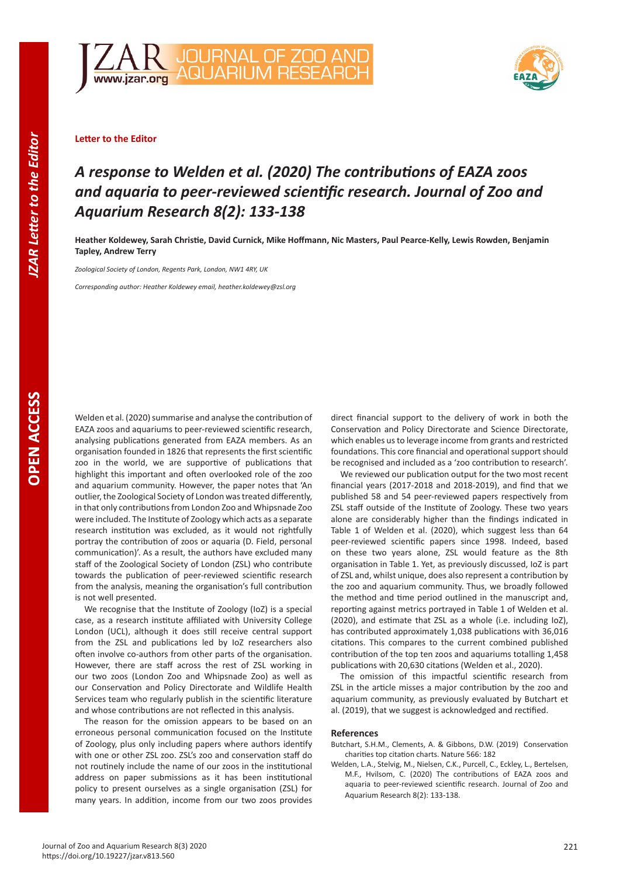**OPEN ACCESS** 





## **Letter to the Editor**

## *A response to Welden et al. (2020) The contributions of EAZA zoos and aquaria to peer-reviewed scientific research. Journal of Zoo and Aquarium Research 8(2): 133-138*

**Heather Koldewey, Sarah Christie, David Curnick, Mike Hoffmann, Nic Masters, Paul Pearce-Kelly, Lewis Rowden, Benjamin Tapley, Andrew Terry**

*Zoological Society of London, Regents Park, London, NW1 4RY, UK*

*Corresponding author: Heather Koldewey email, heather.koldewey@zsl.org*

Welden et al. (2020) summarise and analyse the contribution of EAZA zoos and aquariums to peer-reviewed scientific research, analysing publications generated from EAZA members. As an organisation founded in 1826 that represents the first scientific zoo in the world, we are supportive of publications that highlight this important and often overlooked role of the zoo and aquarium community. However, the paper notes that 'An outlier, the Zoological Society of London was treated differently, in that only contributions from London Zoo and Whipsnade Zoo were included. The Institute of Zoology which acts as a separate research institution was excluded, as it would not rightfully portray the contribution of zoos or aquaria (D. Field, personal communication)'. As a result, the authors have excluded many staff of the Zoological Society of London (ZSL) who contribute towards the publication of peer-reviewed scientific research from the analysis, meaning the organisation's full contribution is not well presented.

We recognise that the Institute of Zoology (IoZ) is a special case, as a research institute affiliated with University College London (UCL), although it does still receive central support from the ZSL and publications led by IoZ researchers also often involve co-authors from other parts of the organisation. However, there are staff across the rest of ZSL working in our two zoos (London Zoo and Whipsnade Zoo) as well as our Conservation and Policy Directorate and Wildlife Health Services team who regularly publish in the scientific literature and whose contributions are not reflected in this analysis.

The reason for the omission appears to be based on an erroneous personal communication focused on the Institute of Zoology, plus only including papers where authors identify with one or other ZSL zoo. ZSL's zoo and conservation staff do not routinely include the name of our zoos in the institutional address on paper submissions as it has been institutional policy to present ourselves as a single organisation (ZSL) for many years. In addition, income from our two zoos provides direct financial support to the delivery of work in both the Conservation and Policy Directorate and Science Directorate, which enables us to leverage income from grants and restricted foundations. This core financial and operational support should be recognised and included as a 'zoo contribution to research'.

We reviewed our publication output for the two most recent financial years (2017-2018 and 2018-2019), and find that we published 58 and 54 peer-reviewed papers respectively from ZSL staff outside of the Institute of Zoology. These two years alone are considerably higher than the findings indicated in Table 1 of Welden et al. (2020), which suggest less than 64 peer-reviewed scientific papers since 1998. Indeed, based on these two years alone, ZSL would feature as the 8th organisation in Table 1. Yet, as previously discussed, IoZ is part of ZSL and, whilst unique, does also represent a contribution by the zoo and aquarium community. Thus, we broadly followed the method and time period outlined in the manuscript and, reporting against metrics portrayed in Table 1 of Welden et al. (2020), and estimate that ZSL as a whole (i.e. including IoZ), has contributed approximately 1,038 publications with 36,016 citations. This compares to the current combined published contribution of the top ten zoos and aquariums totalling 1,458 publications with 20,630 citations (Welden et al., 2020).

The omission of this impactful scientific research from ZSL in the article misses a major contribution by the zoo and aquarium community, as previously evaluated by Butchart et al. (2019), that we suggest is acknowledged and rectified.

## **References**

- Butchart, S.H.M., Clements, A. & Gibbons, D.W. (2019) Conservation charities top citation charts. Nature 566: 182
- Welden, L.A., Stelvig, M., Nielsen, C.K., Purcell, C., Eckley, L., Bertelsen, M.F., Hvilsom, C. (2020) The contributions of EAZA zoos and aquaria to peer-reviewed scientific research. Journal of Zoo and Aquarium Research 8(2): 133-138.